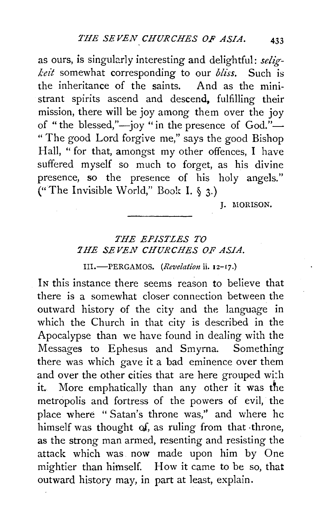as ours, is singularly interesting and delightful: *seligkeit* somewhat corresponding to our *bliss.* Such is the inheritance of the saints. strant spirits ascend and descend, fulfilling their mission, there will be joy among them over the joy of "the blessed,"—joy "in the presence of  $God.$ "-" The good Lord forgive me," says the good Bishop Hall, " for that, amongst my other offences, I have suffered myself so much to forget, as his divine presence, so the presence of his holy angels." ("The Invisible World," Book I.  $\S$  3.)

L. MORISON.

## *THE EPISTLES TO THE SEVEN CHURCHES OF ASIA.*

III.-PERGAMOS. *(Revelation* ii. 12-17.)

IN this instance there seems reason to believe that there is a somewhat closer connection between the outward history of the city and the language in which the Church in that city is described in the Apocalypse than we have found in dealing with the Messages to Ephesus and Smyrna. Something there was which gave it a bad eminence over them and over the other cities that are here grouped with it. More emphatically than any other it was the metropolis and fortress of the powers of evil, the place where "Satan's throne was,'' and where he himself was thought *oi,* as ruling from that ·throne, as the strong man armed, resenting and resisting the attack which was now made upon him by One mightier than himself. How it came to be so, that outward history may, in part at least, explain.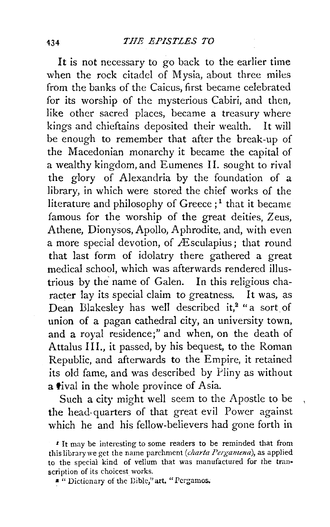It is not necessary to go back to the earlier time when the rock citadel of Mysia, about three miles from the banks of the Caicus, first became celebrated for its worship of the mysterious Cabiri, and then, like other sacred places, became a treasury where kings and chieftains deposited their wealth. It will be enough to remember that after the break-up of the Macedonian monarchy it became the capital of a wealthy kingdom, and Eumenes II. sought to rival the glory of Alexandria by the foundation of a library, in which were stored the chief works of the literature and philosophy of Greece  $:$ <sup>1</sup> that it became famous for the worship of the great deities, Zeus, Athene, Dionysos, Apollo, Aphrodite, and, with even a more special devotion, of  $\overline{A}$  sculapius; that round that last form of idolatry there gathered a great medical school, which was afterwards rendered illustrious by the' name of Galen. In this religious character lay its special claim to greatness. It was, as Dean Blakesley has well described it,<sup>2</sup> "a sort of union of a pagan cathedral city, an university town, and a royal residence;" and when, on the death of Attalus Ill., it passed, by his bequest, to the Roman Republic, and afterwards to the Empire, it retained its old fame, and was described by Pliny as without a tival in the whole province of Asia.

Such a city might well seem to the Apostle to be the head-quarters of that great evil Power against which he and his fellow-believers had gone forth in

*<sup>t</sup>*It may be interesting to some readers to be reminded that from this library we get the name parchment *(charta Pergamena)*, as applied to the special kind of vellum that was manufactured for the transcription of its choicest works.

a " Dictionary of the Dible," art. "Pcrgamos.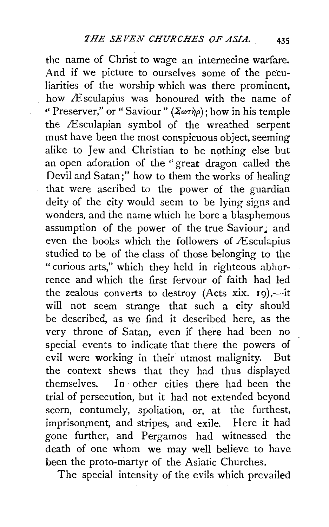the name of Christ to wage an internecine warfare. And if we picture to ourselves some of the peculiarities of the worship which was there prominent, how Æsculapius was honoured with the name of " Preserver," or " Saviour" ( $\overline{X\omega\tau\eta\rho}$ ); how in his temple the Æsculapian symbol of the wreathed serpent must have been the most conspicuous object, seeming alike to Jew and Christian to be nothing else but an open adoration of the " great dragon called the Devil and Satan;" how to them the works of healing that were ascribed to the power of the guardian deity of the city would seem to be lying signs and wonders, and the name which he bore a blasphemous assumption of the power of the true Saviour: and even the books which the followers of  $\triangle$ sculapius studied to be of the class of those belonging to the "curious arts," which they held in righteous abhorrence and which the first fervour of faith had led the zealous converts to destroy (Acts xix.  $19$ ),-it will not seem strange that such a city should be described, as we find it described here, as the very throne of Satan, even if there had been no special events to indicate that there the powers of evil were working in their utmost malignity. But the context shews that they had thus displayed themselves. In· other cities there had been the trial of persecution, but it had not extended beyond scorn, contumely, spoliation, or, at the furthest, imprisonment, and stripes, and exile. Here it had gone further, and Pergamos had witnessed the death of one whom we may well believe to have been the proto-martyr of the Asiatic Churches.

The special intensity of the evils which prevailed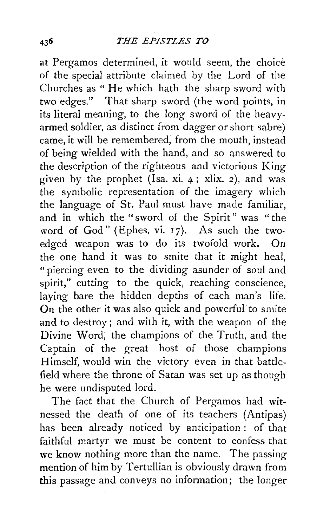at Pergamos determined, it would seem, the choice of the special attribute claimed by the Lord of the Churches as " He which hath the sharp sword with two edges." That sharp sword (the word points, in its literal meaning, to the long sword of the heavyarmed soldier, as distinct from dagger or short sabre) came, it will be remembered, from the mouth, instead of being wielded with the hand, and so answered to the description of the righteous and victorious King given by the prophet (Isa. xi. 4; xlix. 2), and was the symbolic representation of the imagery which the language of St. Paul must have made familiar, and in which the "sword of the Spirit" was "the word of God" (Ephes. vi.  $17$ ). As such the twoedged weapon was to do its twofold work. On the one hand it was to smite that it might heal, "piercing even to the dividing asunder of soul and spirit," cutting to the quick, reaching conscience, laying bare the hidden depths of each man's life. On the other it was also quick and powerful' to smite and to destroy ; and with it, with the weapon of the Divine Word; the champions of the Truth, and the Captain of the great host of those champions Himself, would win the victory even in that battlefield where the throne of Satan was set up as though he were undisputed lord.

The fact that the Church of Pergamos had witnessed the death of one of its teachers (Antipas) has been already noticed by anticipation : of that faithful martyr we must be content to confess that we know nothing more than the name. The passing mention of him by Tertullian is obviously drawn from this passage and conveys no information; the longer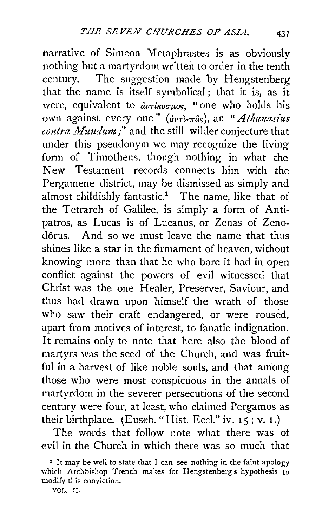narrative of Simeon Metaphrastes is as obviously nothing but a martyrdom written to order in the tenth century. The suggestion made by Hengstenberg that the name is itself symbolical; that it is, as it were, equivalent to  $\partial v\tau$ *ikoguos*, "one who holds his own against every one"  $\left(\frac{d\nu\tau}{d\tau}\frac{\partial}{\partial s}\right)$ , an "*Athanasius contra Mundum* ;" and the still wilder conjecture that under this pseudonym we may recognize the living form of Timotheus, though nothing in what the New Testament records connects him with the Pergamene district, may be dismissed as simply and almost childishly fantastic.<sup>1</sup> The name, like that of the Tetrarch of Galilee, is simply a form of Antipatros, as Lucas is of Lucanus, or Zenas of Zenodôrus. And so we must leave the name that thus shines like a star in the firmament of heaven, without knowing more than that he who bore it had in open conflict against the powers of evil witnessed that Christ was the one Healer, Preserver, Saviour, and thus had drawn upon himself the wrath of those who saw their craft endangered, or were roused, apart from motives of interest, to fanatic indignation. It remains only to note that here also the blood of martyrs was the seed of the Church, and was fruitful in a harvest of like noble souls, and that among those who were most conspicuous in the annals of martyrdom in the severer persecutions of the second century were four, at least, who claimed Pergamos as their birthplace. (Euseb. "Hist. Eccl." iv. 15; v. 1.)

The words that follow note what there was of evil in the Church in which there was so much that

VOL. TI.

<sup>&</sup>lt;sup>1</sup> It may be well to state that I can see nothing in the faint apology which Archbishop Trench makes for Hengstenberg s hypothesis to modify this conviction.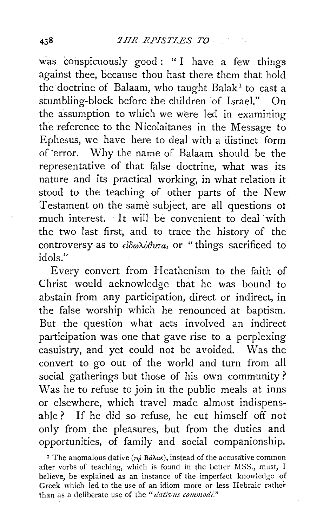was conspicuously good: "I have a few things against thee, because thou hast there them that hold the doctrine of Balaam, who taught Balak<sup>1</sup> to cast a stumbling-block before the children of Israel." On the assumption to which we were led in examining the reference to the Nicolaitanes in the Message to Ephesus, we have here to deal with a distinct form . of ·error. Why the name of Balaam should be the representative of that false doctrine, what was its nature and its practical working, in what relation it stood to the teaching of other parts of the New Testament on the same subject, are all questions ot much interest. It will be convenient to deal with the two last first, and to trace the history of the controversy as to  $\epsilon \delta \omega \lambda \delta \theta v \tau a$ , or "things sacrificed to idols."

Every convert from Heathenism to the faith of Christ would acknowledge that he was bound to abstain from any participation, direct or indirect, in the false worship which he renounced at baptism. But the question what acts involved an indirect participation was one that gave rise to a perplexing casuistry, and yet could not be avoided. Was the convert to go out of the world and turn from all social gatherings but those of his own community ? Was he to refuse to join in the public meals at inns or elsewhere, which travel made almost indispensable ? If he did so refuse, he cut himself off not only from. the pleasures, but from the duties and opportunities, of family and social companionship.

<sup>&</sup>lt;sup>1</sup> The anomalous dative ( $\tau\ddot{\omega}$  Bá $\lambda\alpha\kappa$ ), instead of the accusative common after verbs of teaching, which is found in the better MSS., must, I believe, be explained as an instance of the imperfect knowledge of Greek which led to the use of an idiom more or less Hebraic rather than as a deliberate use of the "*dativus commodi.*"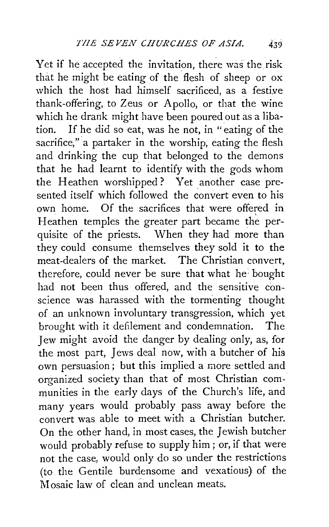yet if he accepted the invitation, there was the risk that he might be eating of the flesh of sheep or ox which the host had himself sacrificed, as a festive thank-offering, to Zeus or Apollo, or that the wine which he drank might have been poured out as a libation. If he did so eat, was he not, in "eating of the sacrifice," a partaker in the worship, eating the flesh and drinking the cup that belonged to the demons that he had learnt to identify with the gods whom the Heathen worshipped? Yet another case presented itself which followed the convert even to his own home. Of the sacrifices that were offered in Heathen temples the greater part became the perquisite of the priests. When they had more than they could consume themselves they sold it to the meat-dealers of the market. The Christian convert, therefore, could never be sure that what he: bought had not been thus offered, and the sensitive conscience was harassed with the tormenting thought of an unknown involuntary transgression, which yet brought with it defilement and condemnation. The Jew might avoid the danger by dealing only, as, for the most part, Jews deal now, with a butcher of his own persuasion; but this implied a more settled and organized society than that of most Christian communities in the early days of the Church's life, and many years would probably pass away before the convert was able to meet with a Christian butcher. On the other hand, in most cases, the Jewish butcher would probably refuse to supply him; or, if that were not the case, would only do so under the restrictions (to the Gentile burdensome and vexatious) of the Mosaic law of clean and unclean meats.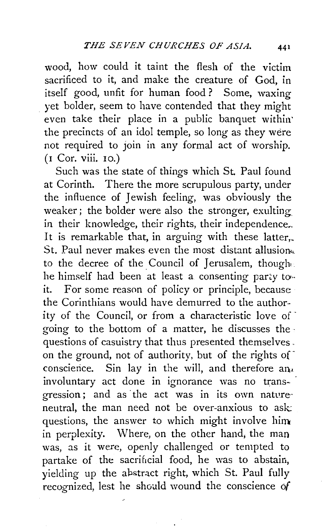wood, how could it taint the flesh of the victim sacrificed to it, and make the creature of God, in itself good, unfit for human food ? Some, waxing yet bolder, seem to have contended that they might even take their place in a public banquet within the precincts of an idol temple, so long as they were not required to join in any formal act of worship. (1 Cor. viii. 10.)

Such was the state of things which St. Paul found at Corinth. There the more scrupulous party, under the influence of Jewish feeling, was obviously the weaker; the bolder were also the stronger, exulting in their knowledge, their rights, their independence. It is remarkable that, in arguing with these latter, St. Paul never makes even the most distant allusion. to the decree of the Council of Jerusalem, though he himself had been at least a consenting party to-it. For some reason of policy or principle, because the Corinthians would have demurred to the authority of the Council, or from a characteristic love of going to the bottom of a matter, he discusses the · questions of casuistry that thus presented themselves. on the ground, not of authority, but of the rights of conscience. Sin lay in the will, and therefore  $a_n$ involuntary act done in ignorance was no trans- · gression; and as· the act was in its own natvre· neutral, the man need not be over-anxious to ask questions, the answer to which might involve him in perplexity. Where, on the other hand, the man was, as it were, openly challenged or tempted to partake of the sacrificial food, he was to abstain, yielding up the abstract right, which St. Paul fully recognized, lest he should wound the conscience of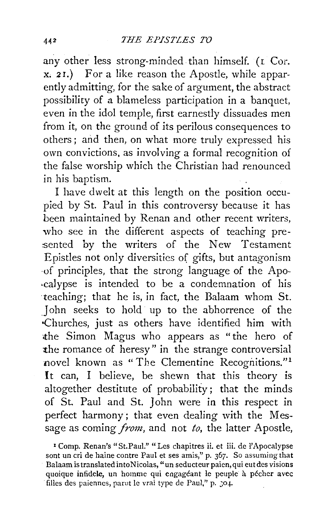any other less strong-minded than himself. (1 Cor. x. 2r.) For a like reason the Apostle, while apparently admitting, for the sake of argument, the abstract possibility of a blameless participation in a banquet, even in the idol temple, first earnestly dissuades men from it, on the ground of its perilous consequences to others ; and then, on what more truly expressed his own convictions, as involving a formal recognition of the false worship which the Christian had renounced in his baptism.

I have dwelt at this length on the position occupied by St. Paul in this controversy because it has been maintained by Renan and other recent writers, who see in the different aspects of teaching presented by the writers of the New Testament Epistles not only diversities of gifts, but antagonism ,of principles, that the strong language of the Apo- ·calypse is intended to be a condemnation of his teaching; that he is, in fact, the Balaam whom St. John seeks to hold up to the abhorrence of the .Churches, just as others have identified him with the Simon Magus who appears as "the hero of the romance of heresy" in the strange controversial novel known as "The Clementine Recognitions."<sup>1</sup> It can, I believe, be shewn that this theory is altogether destitute of probability; that the minds of St. Paul and St. John were in this respect in perfect harmony; that even dealing with the Message as coming *from,* and not *to,* the latter Apostle,

<sup>1</sup> Comp. Renan's "St.Paul." "Les chapitres ii. et iii. de l'Apocalypse sont un cri de haine contre Paul et ses amis," p. 367. So assuming that Balaam istranslatedintoNicolas, "un seducteur paien,qui eutdes visions quoique infidele, un homme qui engagéant le peuple à pécher avec filles des paiennes, parut le vrai type de Paul," p. : 04.

 $442$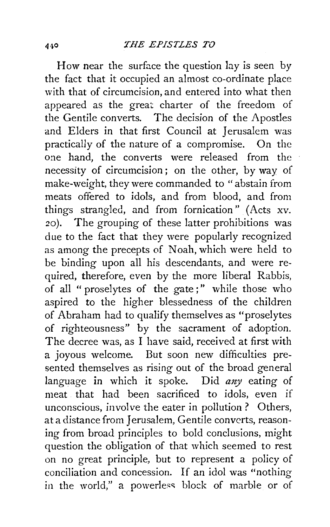How near the surface the question lay is seen by the fact that it occupied an almost co-ordinate place with that of circumcision, and entered into what then appeared as the great charter of the freedom of the Gentile converts. The decision of the Apostles and Elders in that first Council at Jerusalem was practically of the nature of a compromise. On the one hand, the converts were released from the necessity of circumcision; on the other, by way of make-weight, they were commanded to " abstain from meats offered to idols, and from blood, and from things strangled, and from fornication" (Acts xv. zo). The grouping of these latter prohibitions was due to the fact that they were popularly recognized as among the precepts of Noah, which were held to be binding upon all his descendants, and were required, therefore, even by the more liberal Rabbis, of all " proselytes of the gate;" while those who aspired to the higher blessedness of the children of Abraham had to qualify themselves as "proselytes of righteousness" by the sacrament of adoption. The decree was, as I have said, received at first with a joyous welcome. But soon new difficulties presented themselves as rising out of the broad general language in which it spoke. Did *any* eating of meat that had been sacrificed to idols, even if unconscious, involve the eater in pollution ? Others, at a distance from Jerusalem, Gentile converts, reasoning from broad principles to bold conclusions, might question the obligation of that which seemed to rest on no great principle, but to represent a policy of conciliation and concession. If an idol was "nothing in the world," a powerless block of marble or of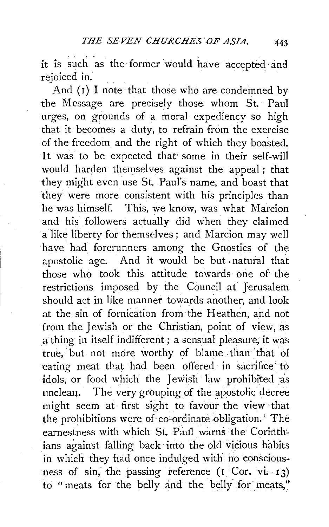it is such as the former would have accepted and rejoiced in.

And  $(1)$  I note that those who are condemned by the Message are precisely those whom St. Paul urges, on grounds of a moral expediency so high that it becomes a duty, to refrain from the exercise of the freedom and the right of which they boasted. It was to be expected that some in their self-will would harden themselves against the appeal; that they might even use St. Paul's name, and boast that they were more consistent with his principles than ·he was himself. This, we know, was what Marcion and his followers actually did when they claimed alike liberty for themselves; and Marcion may well have had forerunners among the Gnostics of the apostolic age. And it would be but . natural that those who took this attitude towards one of the restrictions imposed by the Council at Jerusalem should act in like manner towards another, and look at the sin of fornication from the Heathen, and not from the Jewish or the Christian, point of view, as a thing in itself indifferent; a sensual pleasure; it was true. but not more worthy of blame than that of eating meat that had been offered in sacrifice to idols, or food which the Jewish law prohibited as unclean. The very grouping of the apostolic decree might seem at first sight to favour the view that the prohibitions were of co-ordinate obligation. The earnestness with which St. Paul warns the Corinthians against falling back into the old vicious habits in which they had once indulged with no consciousness of sin, the passing reference  $($ I Cor. vi. 13) to "meats for the belly and the belly for meats,"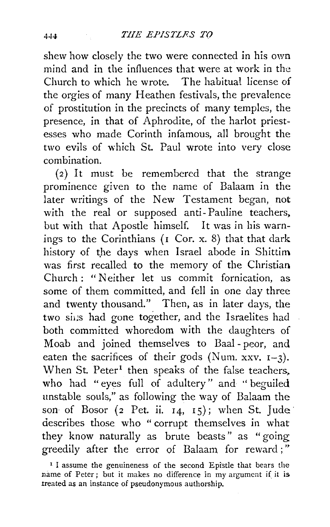shew how closely the two were connected in his own mind and in the influences that were at work in the Church to which he wrote. The habitual license of the orgies of many Heathen festivals, the prevalence of prostitution in the precincts of many temples, the presence, in that of Aphrodite, of the harlot priestesses who made Corinth infamous, all brought the two evils of which St. Paul wrote into very close combination.

(2) It must be remembered that the strange prominence given to the name of Balaam in the later writings of the New Testament began, not with the real or supposed anti- Pauline teachers, but with that Apostle himself. It was in his warnings to the Corinthians (I Cor. x. 8) that that dark history of the days when Israel abode in Shittim was first recalled to the memory of the Christian Church : "Neither let us commit fornication, as some of them committed, and fell in one day three and twenty thousand." Then, as in later days, the two sins had gone together, and the Israelites had both committed whoredom with the daughters of Moab and joined themselves to Baal - peor, and eaten the sacrifices of their gods (Num. xxv.  $I-3$ ). When St.  $Peter<sup>1</sup>$  then speaks of the false teachers, who had "eyes full of adultery" and ''beguiled unstable souls," as following the way of Balaam the son of Bosor (2 Pet. ii.  $14, 15$ ); when St. Jude: describes those who "corrupt themselves in what they know naturally as brute beasts" as "going greedily after the error of Balaam for reward;"

<sup>&</sup>lt;sup>1</sup> I assume the genuineness of the second Epistle that bears the name of Peter; but it makes no difference in my argument if it is treated as an instance of pseudonymous authorship.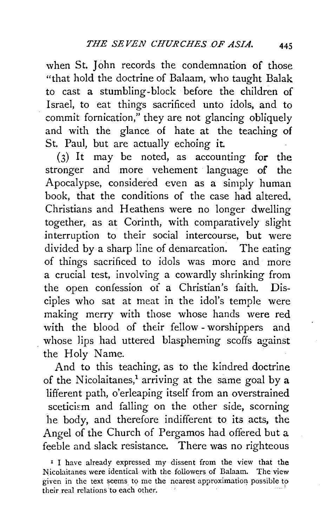when St. John records the condemnation of those "that hold the doctrine of Balaam, who taught Balak to cast a stumbling-block before the children of Israel, to eat things sacrificed unto idols, and to commit fornication," they are not glancing obliquely and with the glance of hate at the teaching of St. Paul, but are actually echoing it

 $(3)$  It may be noted, as accounting for the stronger and more vehement language of the Apocalypse, considered even as a simply human book, that the conditions of the case had altered. Christians and Heathens were no longer dwelling together, as at Corinth, with comparatively slight interruption to their social intercourse, but were divided by a sharp line of demarcation. The eating of things sacrificed to idols was more and more a crucial test, involving a cowardly shrinking from the open confession of a Christian's faith. Disciples who sat at meat in the idol's temple were making merry with those whose hands were red with the blood of their fellow -worshippers and whose lips had uttered blaspheming scoffs against the Holy Name.

And to this teaching, as to the kindred doctrine of the Nicolaitanes,<sup>1</sup> arriving at the same goal by a lifferent path, o'erleaping itself from an overstrained sceticism and falling on the other side, scorning he body, and therefore indifferent to its acts, the Angel of the Church of Pergamos had offered but a feeble and slack resistance. There was no righteous

I I have already expressed my dissent from the view that the N:icolaitanes were identical with the followers of Balaam. The view given in the text seems to me the nearest approximation possible to their real relations to each other.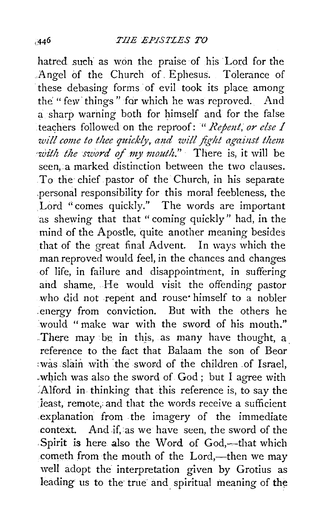hatred such as won the praise of his Lord for the .Angel of the Church of. Ephesus. Tolerance of these debasing forms of evil took its place among the "few things" for which he was reproved. And a sharp warning both for himself and for the false teachers followed on the reproof: " *Repent, or else I* will come to thee quickly, and will fight against them with the sword of my mouth." There is, it will be seen, a marked distinction between the two clauses. To the chief pastor of the Church, in his separate .personal responsibility for this moral feebleness, the Lord "comes quickly." The words are important as shewing that that "coming quickly" had, in the mind of the Apostle, quite another meaning besides that of the great final Advent. In ways which the man reproved would feel, in the chances and changes of life, in failure and disappointment, in suffering and shame, He would visit the offending pastor who did not repent and rouse himself to a nobler .energy from conviction. But with the others he would " make war with the sword of his mouth." There may be in this, as many have thought, a. reference to the fact that Balaam the son of Bear :was slain with the sword of the children of Israel, which was also the sword of God; but I agree with Alford in thinking that this reference is, to say the least, remote, and that the words receive a sufficient .explanation from the imagery of the immediate context. And if, as we have seen, the sword of the Spirit is here also the Word of God,-that which cometh from the mouth of the Lord,—then we may well adopt the interpretation given by Grotius as leading us to the true and spiritual meaning of the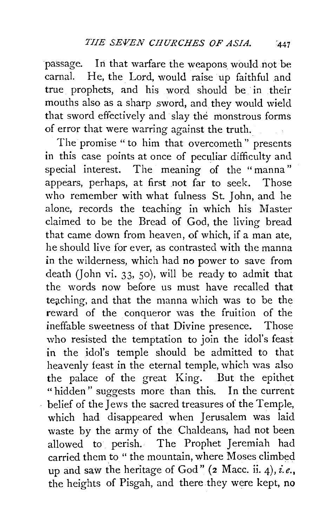passage. In that warfare the weapons would not be carnal. He, the Lord, would raise up faithful and true prophets, and his word should be in their mouths also as a sharp sword, and they would wield that sword effectively and slay the monstrous forms of error that were warring against the truth.

The promise " to him that overcometh '' presents in this case points at once of peculiar difficulty and special interest. The meaning of the " manna" appears, perhaps, at first not far to seek. Those who remember with what fulness St. John, and he alone, records the teaching in which his Master claimed to be the Bread of God, the living bread that came down from heaven, of which, if a man ate, he should live for ever, as contrasted with the manna in the wilderness, which had no power to save from death (John vi. 33, 50), will be ready to admit that the words now before us must have recalled that teaching, and that the manna which was to be the reward of the conqueror was the fruition of the ineffable sweetness of that Divine presence. Those who resisted the temptation to join the idol's feast in the idol's temple should be admitted to that heavenly feast in the eternal temple, which was also the palace of the great King. But the epithet "hidden" suggests more than this. In the current belief of the Jews the sacred treasures oi the Temple, which had disappeared when Jerusalem was laid waste by the army of the Chaldeans, had not been allowed to perish. The Prophet Jeremiah had carried them to " the mountain, where Moses climbed up and saw the heritage of God" (2 Mace. ii. 4), *i.e.,*  the heights of Pisgah, and there. they were kept, no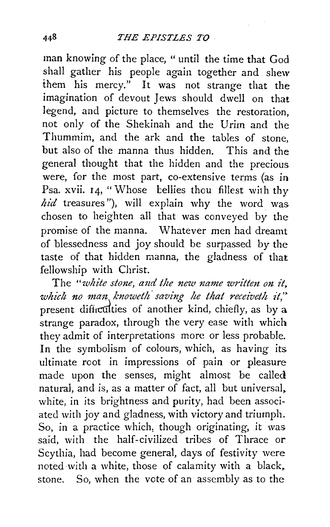man knowing of the place, " until the time that God shall gather his people again together and shew them his mercy." It was not strange that the imagination of devout Jews should dwell on that legend, and picture to themselves the restoration, not only of the Shekinah and the Urirn and the Thummim, and the ark and the tables of stone, but also of the manna thus hidden. This and the general thought that the hidden and the precious were, for the most part, co-extensive terms (as in Psa. xvii. 14, "Whose bellies thou fillest with thy hid treasures"), will explain why the word was chosen to heighten all that was conveyed by the promise of the manna. Whatever men had dreamt of blessedness and joy should be surpassed by the taste of that hidden manna, the gladness of that fellowship with Christ.

The "white stone, and the new name written on it, *which no man knoweth saving he that receiveth it*," present difficulties of another kind, chiefly, as by a strange paradox, through the very ease with which they admit of interpretations more or less probable. In the symbolism of colours, which, as having its ultimate root in impressions of pain or pleasure made upon the senses, might almost be called natural, and is, as a matter of fact, all but universal. white, in its brightness and purity, had been associated with joy and gladness, with victory and triumph. So, in a practice which, though originating, it was said, with the half-civilized tribes of Thrace or Scythia, had become general, days of festivity were noted with a white, those of calamity with a black. stone. So, when the vote of an assembly as to the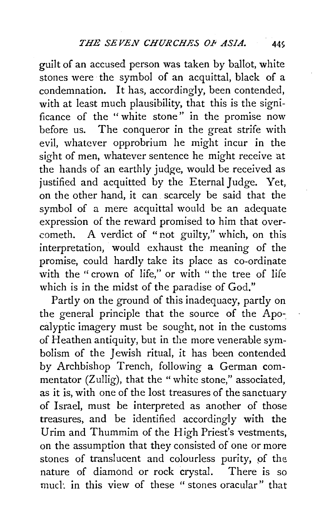guilt of an accused person was taken by ballot, white stones were the symbol of an acquittal, black of a condemnation. It has, accordingly, been contended, with at least much plausibility, that this is the significance of the " white stone" in the promise now before us. The conqueror in the great strife with evil, whatever opprobrium he might incur in the sight of men, whatever sentence he might receive at the hands of an earthly judge, would be received as justified and acquitted by the Eternal Judge. Yet. on the other hand, it can scarcely be said that the symbol of a mere acquittal would be an adequate expression of the reward promised to him that overcometh. A verdict of "not guilty," which, on this interpretation, would exhaust the meaning of the promise, could hardly take its place as co-ordinate with the "crown of life," or with " the tree of life which is in the midst of the paradise of God."

Partly on the ground of this inadequacy, partly on the general principle that the source of the Apocalyptic imagery must be sought, not in the customs of Heathen antiquity, but in the more venerable symbolism of the Jewish ritual, it has been contended by Archbishop Trench, following a German commentator (Zullig), that the "white stone," associated, as it is, with one of the lost treasures of the sanctuary of Israel, must be interpreted as another of those treasures, and be identified accordingly with the Urim and Thummim of the High Priest's vestments, on the assumption that they consisted of one or more stones of translucent and colourless purity, of the nature of diamond or rock crystal. There is so mucl·. in this view of these " stones oracular" that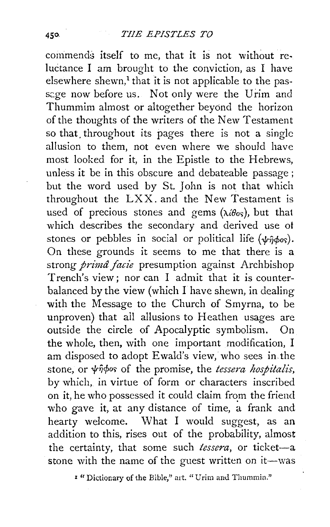commends itself to me, that it is not without reluctance I am brought to the conviction, as I have elsewhere shewn, $<sup>1</sup>$  that it is not applicable to the pas-</sup> sage now before us. Not only were the Urim and Thummim almost or altogether beyond the horizon of the thoughts of the writers of the New Testament so that. throughout its pages there is not a single allusion to them, not even where we should have most looked for it, in the Epistle to the Hebrews, unless it be in this obscure and debateable passage ; but the word used by St. John is not that which throughout the LXX. and the New Testament is used of precious stones and gems  $(\lambda \theta_{0s})$ , but that which describes the secondary and derived use of stones or pebbles in social or political life  $(\psi \hat{\theta} \phi o_{\delta})$ . On these grounds it seems to me that there is a strong *primâ facie* presumption against Archbishop Trench's view; nor can I admit that it is counterbalanced by the view (which I have shewn, in dealing with the Message to the Church of Smyrna, to be unproven) that ail allusions to Heathen usages are outside the circle of Apocalyptic symbolism. On the whole, then, with one important modification, I am disposed to adopt Ewald's view, who sees in the stone, or  $\psi$ *n* $\phi$ os of the promise, the *tessera hospitalis*, by which, in virtue of form or characters inscribed on it, he who possessed it could claim from the friend who gave it, at any distance of time, a frank and hearty welcome. What I would suggest, as an addition to this, rises out of the probability, almost the certainty, that some such *tessera*, or ticket-a stone with the name of the guest written on it-was

<sup>1</sup> "Dictionary of the Bible," art. "Urim and Thummin."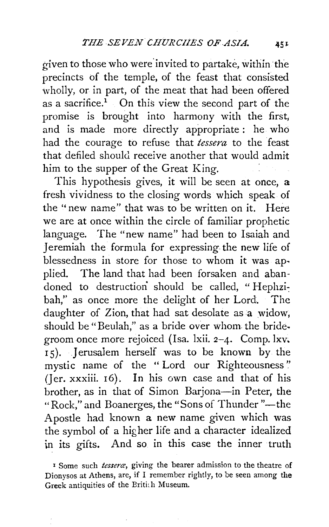given to those who were' invited to partake, within the precincts of the temple, of the feast that consisted wholly, or in part, of the meat that had been offered as a sacrifice.<sup>1</sup> On this view the second part of the promise is brought into harmony with the first; and is made more directly appropriate : he who had the courage to refuse that *tessera* to the feast that defiled should receive another that would admit him to the supper of the Great King.

This hypothesis gives, it will be seen at once, a fresh vividness to the closing words which speak of the ''new name" that was to be written on it. Here we are at once within the circle of familiar prophetic language. The "new name" had been to Isaiah and Jeremiah the formula for expressing the new life of blessedness in store for those to whom it was applied. The land that had been forsaken and abandoned to destruction should be called, "Hephzibah," as once more the delight of her Lord. The daughter of Zion, that had sat desolate as a widow, should be "Beulah," as a bride over whom the bridegroom once more rejoiced (Isa. lxii. 2-4. Comp.lxv. 15). Jerusalem herself was to be known by the mystic name of the " Lord our Righteousness'' (Jer. xxxiii. 16). In his own case and that of his brother, as in that of Simon Barjona-in Peter, the "Rock," and Boanerges, the "Sons of Thunder "-the Apostle had known a new name given which was the symbol of a higher life and a character idealized in its gifts. And so in this case the inner truth

<sup>1</sup> Some such *tessera,* giving the bearer admission to the theatre of Dionysos at Athens, are, if I remember rightly, to be seen among the Greek antiquities of the Britich Museum.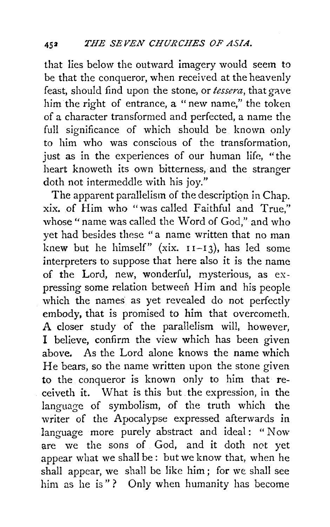that lies below the outward imagery would seem to be that the conqueror, when received at the heavenly feast, should find upon the stone, or *tessera*, that gave him the right of entrance, a "new name," the token of a character transformed and perfected, a name the full significance of which should be known only to him who was conscious of the transformation, just as in the experiences of our human life, "the heart knoweth its own bitterness, and the stranger doth not intermeddle with his joy."

The apparent parallelism of the description in Chap. xix. of Him who "was called Faithful and True," whose "name was called the Word of God," and who yet had besides these " a name written that no man knew but he himself" (xix.  $11-13$ ), has led some interpreters to suppose that here also it is the name of the Lord, new, wonderful, mysterious, as expressing some relation between Him and his people which the names as yet revealed do not perfectly embody, that is promised to him that overcometh. A closer study of the parallelism will, however, I believe, confirm the view which has been given above. As the Lord alone knows the name which He bears, so the name written upon the stone given to the conqueror is known only to him that receiveth it. What is this but the expression, in the language of symbolism, of the truth which the writer of the Apocalypse expressed afterwards in language more purely abstract and ideal: "Now are we the sons of God, and it doth not yet appear what we shall be: but we know that, when he shall appear, we shall be like him ; for we shall see him as he is"? Only when humanity has become